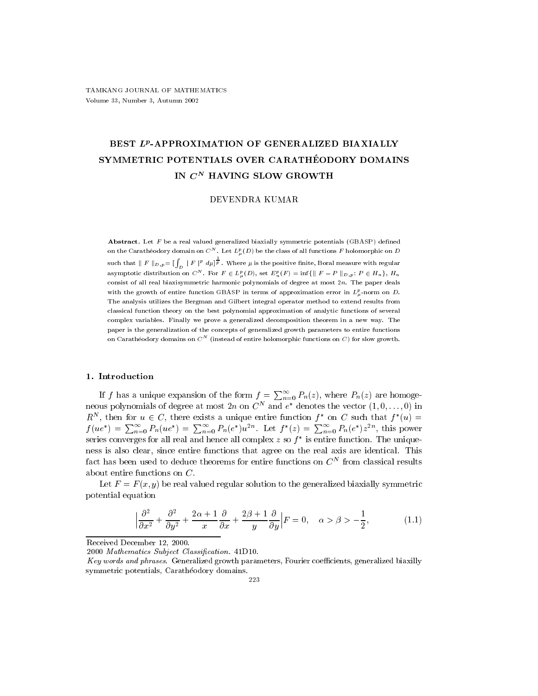# BEST  $L^p$ -APPROXIMATION OF GENERALIZED BIAXIALLY SYMMETRIC POTENTIALS OVER CARATHÉODORY DOMAINS IN  $C^N$  HAVING SLOW GROWTH

## DEVENDRA KUMAR

Abstract. Let  $F$  be a real valued generalized biaxially symmetric potentials (GBASP) defined on the Caratheodory domain on  $C^\infty$  . Let  $L^e_\mu(D)$  be the class of all functions  $F$  holomorphic on  $D$ such that  $\parallel F\parallel_{D,p}=[\int_D\mid F\mid^p d\mu]^{\frac{1}{p}}$  . Where  $\mu$  is the positive finite, Boral measure with regular asymptotic distribution on  $C^N$ . For  $F \in L^p_\mu(D)$ , set  $E^p_n(F) = \inf \{ \parallel F - P \parallel_{D,p}: P \in H_n \}$ ,  $H_n$ consist of all real biaxisymmetric harmonic polynomials of degree at most  $2n$ . The paper deals with the growth of entire function GBASP in terms of approximation error in  $L_n^p$ -norm on D. The analysis utilizes the Bergman and Gilbert integral operator method to extend results from classical function theory on the best polynomial approximation of analytic functions of several complex variables. Finally we prove a generalized decomposition theorem in a new way. The paper is the generalization of the concepts of generalized growth parameters to entire functions on Caratheodory domains on  $C^\infty$  (instead of entire holomorphic functions on  $C$  ) for slow growth.

## 1. Introduction

If f has a unique expansion of the form  $f = \sum_{n=0}^{\infty} P_n(z)$ , where  $P_n(z)$  are homogeneous polynomials of degree at most 2n on  $C^N$  and  $e^*$  denotes the vector  $(1,0,\ldots,0)$  in  $R^N$ , then for  $u \in C$ , there exists a unique entire function  $f^*$  on C such that  $f^*(u) =$ <br>  $f(ue^*) = \sum_{n=0}^{\infty} P_n(ue^*) = \sum_{n=0}^{\infty} P_n(e^*)u^{2n}$ . Let  $f^*(z) = \sum_{n=0}^{\infty} P_n(e^*)z^{2n}$ , this power series converges for all real and hence all complex  $z$  so  $f^*$  is entire function. The uniqueness is also clear, since entire functions that agree on the real axis are identical. This ract has been used to deduce theorems for entire functions on  $C^\times$  from classical results about entire functions on C.

Let  $F = F(x, y)$  be real valued regular solution to the generalized biaxially symmetric potential equation

$$
\left|\frac{\partial^2}{\partial x^2} + \frac{\partial^2}{\partial y^2} + \frac{2\alpha + 1}{x} \frac{\partial}{\partial x} + \frac{2\beta + 1}{y} \frac{\partial}{\partial y}\right| F = 0, \quad \alpha > \beta > -\frac{1}{2},\tag{1.1}
$$

Received December 12, 2000.

2000 Mathematics Subject Classification. 41D10.

Key words and phrases. Generalized growth parameters, Fourier coefficients, generalized biaxilly symmetric potentials, Caratheodory domains.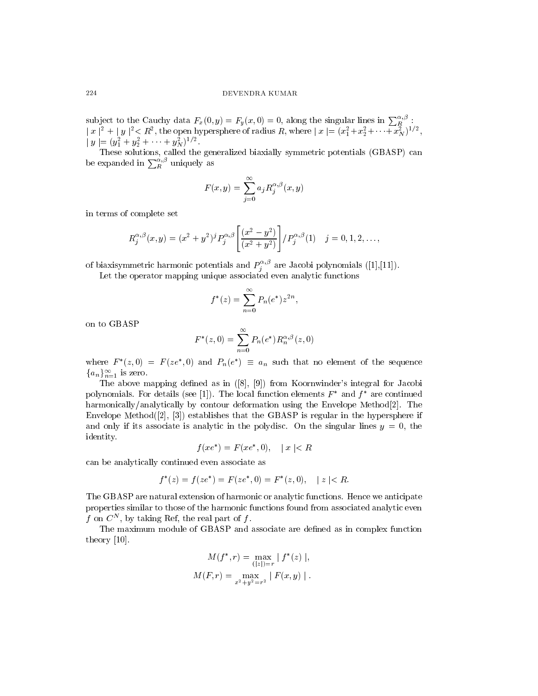#### 224 DEVENDRA KUMAR

,

subject to the Cauchy data  $F_x(0, y) = F_y(x, 0) = 0$ , along the singular lines in  $\sum_{R}^{\alpha}$ :  $|x|^{-} + |y|^{-} < R^{-}$ , the open hypersphere of radius R, where  $|x| = (x_{1}^{-} + x_{2}^{+} + \cdots + x_{N}^{-})^{-}$ ,  $|y| = (y_1 + y_2 + \cdots + y_N)$ 

be expanded in  $\sum_{R}^{\alpha,\beta}$  uniquely as

$$
F(x,y) = \sum_{j=0}^{\infty} a_j R_j^{\alpha,\beta}(x,y)
$$

in terms of complete set

$$
R_j^{\alpha,\beta}(x,y) = (x^2 + y^2)^j P_j^{\alpha,\beta} \left[ \frac{(x^2 - y^2)}{(x^2 + y^2)} \right] / P_j^{\alpha,\beta}(1) \quad j = 0, 1, 2, \dots,
$$

of biaxisymmetric harmonic potentials and  $P_i^{\rightarrow\infty}$  are Jacobi polynomials ([1],[11]).

Let the operator mapping unique associated even analytic functions

$$
f^*(z) = \sum_{n=0}^{\infty} P_n(e^*) z^{2n},
$$

on to GBASP

$$
F^*(z,0) = \sum_{n=0}^{\infty} P_n(e^*) R_n^{\alpha,\beta}(z,0)
$$

where  $F^*(z,0) = F(ze^*,0)$  and  $P_n(e^*) \equiv a_n$  such that no element of the sequence  ${a_n}_{n=1}^{\infty}$  is zero.

The above mapping defined as in  $([8], [9])$  from Koornwinder's integral for Jacobi polynomials. For details (see [1]). The local function elements  $F^*$  and  $f^*$  are continued harmonically/analytically by contour deformation using the Envelope Method[2]. The Envelope Method([2], [3]) establishes that the GBASP is regular in the hypersphere if and only if its associate is analytic in the polydisc. On the singular lines  $y = 0$ , the identity.

$$
f(xe^*) = F(xe^*, 0), \quad |x| < R
$$

can be analytically continued even associate as

$$
f^*(z) = f(ze^*) = F(ze^*, 0) = F^*(z, 0), \quad |z| < R.
$$

The GBASP are natural extension of harmonic or analytic functions. Hence we anticipate properties similar to those of the harmonic functions found from associated analytic even f on  $C^*$ , by taking Ref, the real part of f.

The maximum module of GBASP and associate are dened as in complex function theory [10].

$$
M(f^*, r) = \max_{(|z|)=r} |f^*(z)|,
$$
  

$$
M(F, r) = \max_{x^2 + y^2 = r^2} |F(x, y)|.
$$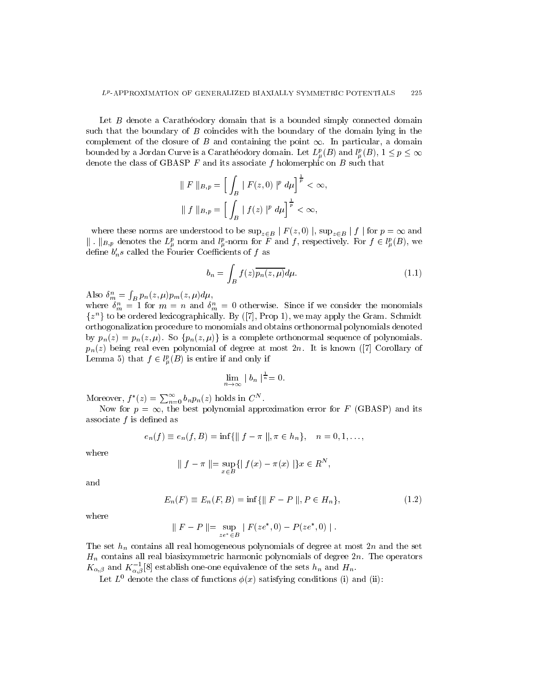Let  $B$  denote a Caratheodory domain that is a bounded simply connected domain such that the boundary of  $B$  coincides with the boundary of the domain lying in the complement of the closure of B and containing the point  $\infty$ . In particular, a domain bounded by a Jordan Curve is a Caratheodory domain. Let  $L_u^p(B)$  and  $l_u^p(B)$ ,  $1 \leq p \leq \infty$ denote the class of GBASP  $F$  and its associate  $f$  holomerphic on  $B$  such that

$$
\| F \|_{B,p} = \left[ \int_B |F(z,0)|^p \, d\mu \right]^{\frac{1}{p}} < \infty,
$$
  

$$
\| f \|_{B,p} = \left[ \int_B |f(z)|^p \, d\mu \right]^{\frac{1}{p}} < \infty,
$$

where these norms are understood to be  $\sup_{z\in B} |F(z,0)|$ ,  $\sup_{z\in B} |f|$  for  $p = \infty$  and  $\| \cdot \|_{B,p}$  denotes the  $L^p_\mu$  norm and  $l^p_\mu$ -norm for  $\overline{F}$  and  $f$ , respectively. For  $f \in l^p_\mu(B)$ , we define  $b_n's$  called the Fourier Coefficients of  $f$  as

$$
b_n = \int_B f(z) \overline{p_n(z, \mu)} d\mu. \tag{1.1}
$$

Also  $\delta_m^n = \int_B p_n(z,\mu) p_m(z,\mu) d\mu$ ,

where  $n_m = 1$  for  $m = n$  and  $n_m = 0$  otherwise. Since if we consider the monomials  $\{z^n\}$  to be ordered lexicographically. By ([7], Prop 1), we may apply the Gram. Schmidt orthogonalization procedure to monomials and obtains orthonormal polynomials denoted by  $p_n(z) = p_n(z, \mu)$ . So  $\{p_n(z, \mu)\}\$ is a complete orthonormal sequence of polynomials.  $p_n(z)$  being real even polynomial of degree at most  $2n$ . It is known ([7] Corollary of Lemma 5) that  $f \in l^p_\mu(B)$  is entire if and only if

$$
\lim_{n \to \infty} |b_n|^{\frac{1}{n}} = 0.
$$

Moreover,  $f^*(z) = \sum_{n=0}^{\infty} b_n p_n(z)$  holds in  $C^N$ .

Now for  $p = \infty$ , the best polynomial approximation error for F (GBASP) and its associate  $f$  is defined as

$$
e_n(f) \equiv e_n(f, B) = \inf \{ || f - \pi ||, \pi \in h_n \}, \quad n = 0, 1, \dots,
$$

where

$$
\| f - \pi \| = \sup_{x \in B} \{ \| f(x) - \pi(x) \| \} x \in R^N,
$$

and

$$
E_n(F) \equiv E_n(F, B) = \inf \{ \| F - P \|, P \in H_n \},\tag{1.2}
$$

where

$$
\| F - P \| = \sup_{ze^* \in B} | F(ze^*, 0) - P(ze^*, 0) |.
$$

The set  $h_n$  contains all real homogeneous polynomials of degree at most 2n and the set  $H_n$  contains all real biasixymmetric harmonic polynomials of degree  $2n$ . The operators  $K_{\alpha,\beta}$  and  $K_{\alpha,\beta}^{-1}[8]$  establish one-one equivalence of the sets  $h_n$  and  $H_n$ .

Let  $L^0$  denote the class of functions  $\phi(x)$  satisfying conditions (i) and (ii):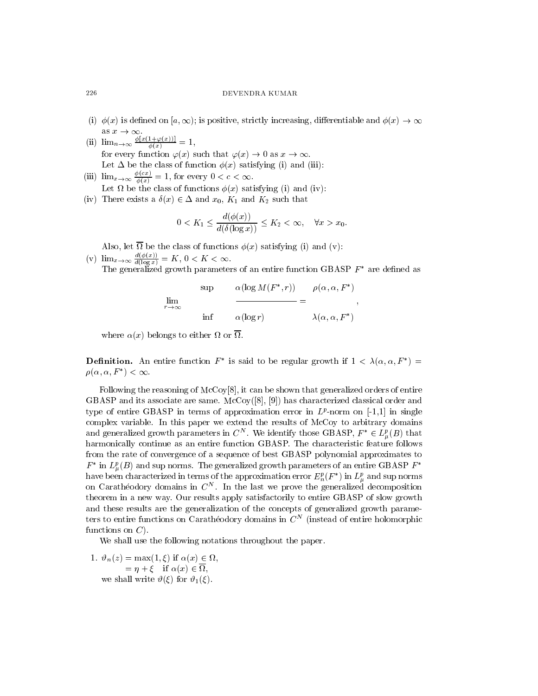- (i)  $\phi(x)$  is defined on [a,  $\infty$ ); is positive, strictly increasing, differentiable and  $\phi(x) \to \infty$ as x ! 1.
- (ii)  $\lim_{n\to\infty} \frac{\varphi[x(1+\varphi(x))]}{\varphi(x)} = 1,$ for every function  $\varphi(x)$  such that  $\varphi(x) \to 0$  as  $x \to \infty$ . Let  $\Delta$  be the class of function  $\phi(x)$  satisfying (i) and (iii):
- (iii)  $\lim_{x\to\infty} \frac{\sqrt{2\pi}}{\phi(x)} = 1$ , for every  $0 < c < \infty$ .
- (iv) There exists a  $\delta(x) \in \Delta$  and  $x_0$ ,  $K_1$  and  $K_2$  such that

$$
0 < K_1 \le \frac{d(\phi(x))}{d(\delta(\log x))} \le K_2 < \infty, \quad \forall x > x_0.
$$

Also, let be the class of functions (x) satisfying (i) and (v):

 $\mathbf{A} \cdot \mathbf{A}$  satisfying (i) and (i) and (i) and (i) and (i) and (i) and (i) and (i) and (i) and (i) and (i) and (i) and (i) and (i) and (i) and (i) and (i) and (i) and (i) and (i) and (i) and (i) and (i) and (i) and (

 $(v)$   $\lim_{x\to\infty} \frac{1}{d(\log x)} = K$ , The generalized growth parameters of an entire function GBASP  $F^*$  are defined as

$$
\lim_{r \to \infty} \frac{\alpha(\log M(F^*, r))}{\min \alpha(\log r)} = \frac{\rho(\alpha, \alpha, F^*)}{\lambda(\alpha, \alpha, F^*)},
$$

where  $\mathcal{X}$  belongs to either  $\mathcal{X}$  belongs to either  $\mathcal{X}$  belongs to either  $\mathcal{X}$ 

**Definition.** An entire function  $F^*$  is said to be regular growth if  $1 < \lambda(\alpha, \alpha, F^*) =$  $\rho(\alpha, \alpha, F^*) < \infty.$ 

Following the reasoning of McCoy[8], it can be shown that generalized orders of entire GBASP and its associate are same.  $\text{McCoy}([8], [9])$  has characterized classical order and type of entire GDASF in terms of approximation error in  $L^p$ -norm on  $[-1,1]$  in single complex variable. In this paper we extend the results of McCoy to arbitrary domains and generalized growth parameters in  $C^N$ . We identify those GBASP,  $F^* \in L^p_\mu(B)$  that harmonically continue as an entire function GBASP. The characteristic feature follows from the rate of convergence of a sequence of best GBASP polynomial approximates to  $F^*$  in  $L^p_\mu(B)$  and sup norms. The generalized growth parameters of an entire GBASP  $F^*$ have been characterized in terms of the approximation error  $E_n^p(F^*)$  in  $L_\mu^p$  and sup norms on Caratheodory domains in C<sup>N</sup> . In the last we prove the generalized decomposition theorem in a new way. Our results apply satisfactorily to entire GBASP of slow growth and these results are the generalization of the concepts of generalized growth parameters to entire functions on Caratheodory domains in  $\mathbb{C}_+$  (filstead of entire holomorphic functions on  $C$ ).

We shall use the following notations throughout the paper.

1. #n(z) = max(1; ) if (x) 2 ,  $\cdots$  if  $\cdots$   $\cdots$   $\cdots$  if  $\cdots$   $\cdots$   $\cdots$   $\cdots$   $\cdots$   $\cdots$   $\cdots$   $\cdots$   $\cdots$   $\cdots$   $\cdots$   $\cdots$   $\cdots$   $\cdots$   $\cdots$   $\cdots$   $\cdots$   $\cdots$   $\cdots$   $\cdots$   $\cdots$   $\cdots$   $\cdots$   $\cdots$   $\cdots$   $\cdots$   $\cdots$   $\cdots$   $\cdots$   $\cdots$   $\cdots$   $\cdots$ , we shall write  $\vartheta(\xi)$  for  $\vartheta_1(\xi)$ .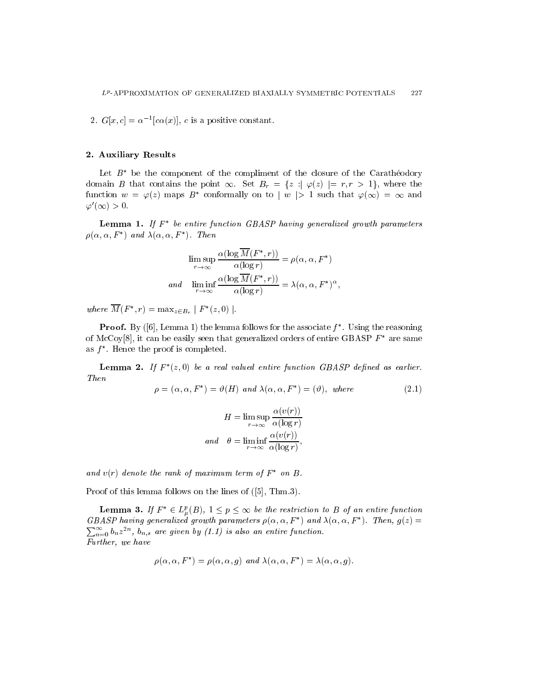2.  $G[x, c] = \alpha^{-1} |c\alpha(x)|$ , c is a positive constant.

# 2. Auxiliary Results

Let  $B^*$  be the component of the compliment of the closure of the Caratheodory domain B that contains the point  $\infty$ . Set  $B_r = \{z : |\varphi(z)| = r, r > 1\}$ , where the function  $w = \varphi(z)$  maps  $B^*$  conformally on to  $|w| > 1$  such that  $\varphi(\infty) = \infty$  and  $\varphi'(\infty) > 0.$ 

**Lemma 1.** If  $F^*$  be entire function GBASP having generalized growth parameters  $\rho(\alpha, \alpha, F^*)$  and  $\lambda(\alpha, \alpha, F^*)$ . Then

$$
\limsup_{r \to \infty} \frac{\alpha(\log \overline{M}(F^*, r))}{\alpha(\log r)} = \rho(\alpha, \alpha, F^*)
$$
  
and 
$$
\liminf_{r \to \infty} \frac{\alpha(\log \overline{M}(F^*, r))}{\alpha(\log r)} = \lambda(\alpha, \alpha, F^*)^{\alpha},
$$

where  $M(F^*, r) = \max_{z \in B_r} |F^*(z, 0)|$ .

**Proof.** By ([6], Lemma 1) the lemma follows for the associate  $f^*$ . Using the reasoning of McCoy[8], it can be easily seen that generalized orders of entire GBASP  $F^*$  are same as  $f^*$ . Hence the proof is completed.

**Lemma 2.** If  $F^*(z,0)$  be a real valued entire function GBASP defined as earlier. Then

$$
\rho = (\alpha, \alpha, F^*) = \vartheta(H) \text{ and } \lambda(\alpha, \alpha, F^*) = (\vartheta), \text{ where } (2.1)
$$

$$
H = \limsup_{r \to \infty} \frac{\alpha(v(r))}{\alpha(\log r)}
$$
  
and 
$$
\theta = \liminf_{r \to \infty} \frac{\alpha(v(r))}{\alpha(\log r)},
$$

and  $v(r)$  denote the rank of maximum term of  $F^*$  on B.

Proof of this lemma follows on the lines of ([5], Thm.3).

**Lemma 3.** If  $F^* \in L^p_\mu(B)$ ,  $1 \leq p \leq \infty$  be the restriction to B of an entire function GBASP having generalized growth parameters  $\rho(\alpha, \alpha, F^*)$  and  $\lambda(\alpha, \alpha, F^*)$ . Then,  $q(z) =$  $\sum_{i=1}^{\infty}$   $\sum_{i=1}^{\infty}$   $\sum_{i=1}^{\infty}$   $\sum_{i=1}^{\infty}$   $\sum_{i=1}^{\infty}$  $n=0$   $\sigma_n z$  ,  $\sigma_{n,s}$  are given by (1.1) is also an entire function. Further, we have

$$
\rho(\alpha, \alpha, F^*) = \rho(\alpha, \alpha, g) \text{ and } \lambda(\alpha, \alpha, F^*) = \lambda(\alpha, \alpha, g).
$$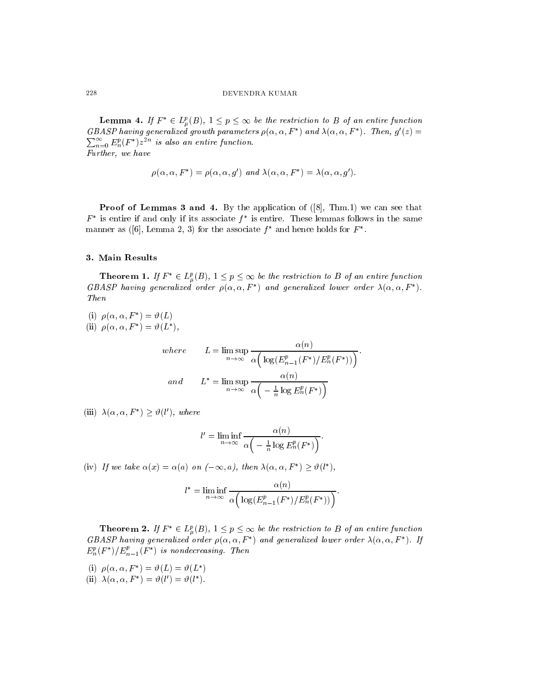**Lemma 4.** If  $F^* \in L^p_\mu(B)$ ,  $1 \leq p \leq \infty$  be the restriction to B of an entire function GBASP having generalized growth parameters  $\rho(\alpha, \alpha, F^*)$  and  $\lambda(\alpha, \alpha, F^*)$ . Then,  $g'(z) =$  $\sum_{n=0}^{\infty} E_n^p(F^*) z^{2n}$  is also an entire function. Further, we have

$$
\rho(\alpha, \alpha, F^*) = \rho(\alpha, \alpha, g') \text{ and } \lambda(\alpha, \alpha, F^*) = \lambda(\alpha, \alpha, g').
$$

Proof of Lemmas 3 and 4. By the application of  $([8], Thm.1)$  we can see that  $F^*$  is entire if and only if its associate  $f^*$  is entire. These lemmas follows in the same manner as ([6], Lemma 2, 3) for the associate  $f^*$  and hence holds for  $F^*$ .

## 3. Main Results

**Theorem 1.** If  $F^* \in L^p_\mu(B)$ ,  $1 \leq p \leq \infty$  be the restriction to B of an entire function GBASP having generalized order  $\rho(\alpha, \alpha, F^*)$  and generalized lower order  $\lambda(\alpha, \alpha, F^*)$ . Then

(i)  $\rho(\alpha, \alpha, F^*) = \vartheta(L)$ 

(ii)  $\rho(\alpha, \alpha, F^*) = \vartheta(L^*),$ 

where 
$$
L = \limsup_{n \to \infty} \frac{\alpha(n)}{\alpha \left( \log(E_{n-1}^p(F^*) / E_n^p(F^*)) \right)}.
$$
  
and 
$$
L^* = \limsup_{n \to \infty} \frac{\alpha(n)}{\alpha \left( -\frac{1}{n} \log E_n^p(F^*) \right)}
$$

(iii)  $\lambda(\alpha, \alpha, F^*) > \vartheta(l')$ , where

$$
l' = \liminf_{n \to \infty} \frac{\alpha(n)}{\alpha \left( -\frac{1}{n} \log E_n^p(F^*) \right)}.
$$

(iv) If we take  $\alpha(x) = \alpha(a)$  on  $(-\infty, a)$ , then  $\lambda(\alpha, \alpha, F^*) > \vartheta(l^*)$ ,

$$
l^* = \liminf_{n \to \infty} \frac{\alpha(n)}{\alpha \left( \log(E_{n-1}^p(F^*)/E_n^p(F^*)) \right)}.
$$

**Theorem 2.** If  $F^* \in L^p_\mu(B)$ ,  $1 \leq p \leq \infty$  be the restriction to B of an entire function GBASP having generalized order  $\rho(\alpha, \alpha, F^*)$  and generalized lower order  $\lambda(\alpha, \alpha, F^*)$ . If  $E_n^p(F^*)/E_{n-1}^p(F^*)$  is nondecreasing. Then

(i)  $\rho(\alpha, \alpha, F^*) = \vartheta(L) = \vartheta(L^*)$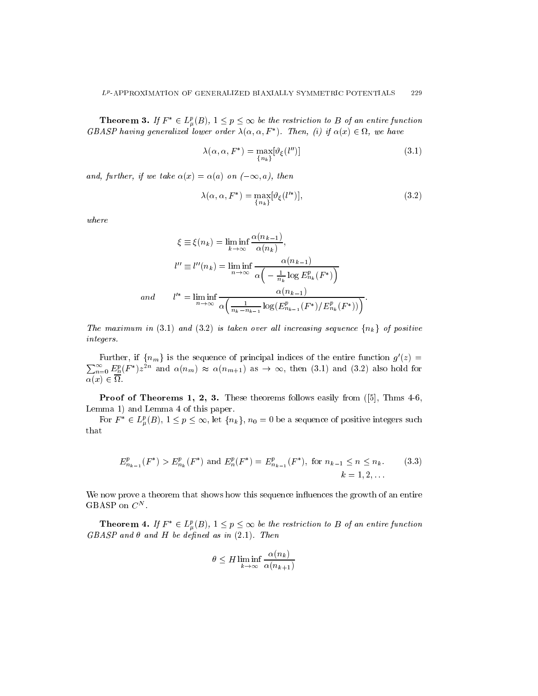**Theorem 3.** If  $F^* \in L^p_\mu(B)$ ,  $1 \leq p \leq \infty$  be the restriction to B of an entire function GBASP having generalized lower order  $\lambda(\alpha, \alpha, F^*)$ . Then, (i) if  $\alpha(x) \in \Omega$ , we have

$$
\lambda(\alpha, \alpha, F^*) = \max_{\{n_k\}} [\vartheta_{\xi}(l'')]
$$
\n(3.1)

and, further, if we take  $\alpha(x) = \alpha(a)$  on  $(-\infty, a)$ , then

$$
\lambda(\alpha, \alpha, F^*) = \max_{\{n_k\}} [\vartheta_{\xi}(l'^*)],\tag{3.2}
$$

where

$$
\xi \equiv \xi(n_k) = \liminf_{k \to \infty} \frac{\alpha(n_{k-1})}{\alpha(n_k)},
$$
  
\n
$$
l'' \equiv l''(n_k) = \liminf_{n \to \infty} \frac{\alpha(n_{k-1})}{\alpha\left(-\frac{1}{n_k} \log E_{n_k}^p(F^*)\right)}
$$
  
\nand 
$$
l'^* = \liminf_{n \to \infty} \frac{\alpha(n_{k-1})}{\alpha\left(\frac{1}{n_k - n_{k-1}} \log \left(E_{n_{k-1}}^p(F^*)/E_{n_k}^p(F^*)\right)\right)}.
$$

The maximum in (3.1) and (3.2) is taken over all increasing sequence  $\{n_k\}$  of positive integers.

Further, if  $\{n_m\}$  is the sequence of principal indices of the entire function  $g'(z) = \sum_{n=0}^{\infty} E_n^p (F^*) z^{2n}$  and  $\alpha(n_m) \approx \alpha(n_{m+1})$  as  $\rightarrow \infty$ , then (3.1) and (3.2) also hold for (x) 2 .

Proof of Theorems 1, 2, 3. These theorems follows easily from ([5], Thms 4-6, Lemma 1) and Lemma 4 of this paper.

For  $F^* \in L^p_\mu(B), 1 \leq p \leq \infty$ , let  $\{n_k\}, n_0 = 0$  be a sequence of positive integers such that

$$
E_{n_{k-1}}^p(F^*) > E_{n_k}^p(F^*) \text{ and } E_n^p(F^*) = E_{n_{k-1}}^p(F^*), \text{ for } n_{k-1} \le n \le n_k. \tag{3.3}
$$
  

$$
k = 1, 2, ...
$$

We now prove a theorem that shows how this sequence influences the growth of an entire GBASP on  $C^N$ .

**Theorem 4.** If  $F^* \in L^p_\mu(B)$ ,  $1 \leq p \leq \infty$  be the restriction to B of an entire function  $GBASP$  and  $\theta$  and  $H$  be defined as in (2.1). Then

$$
\theta \le H \liminf_{k \to \infty} \frac{\alpha(n_k)}{\alpha(n_{k+1})}
$$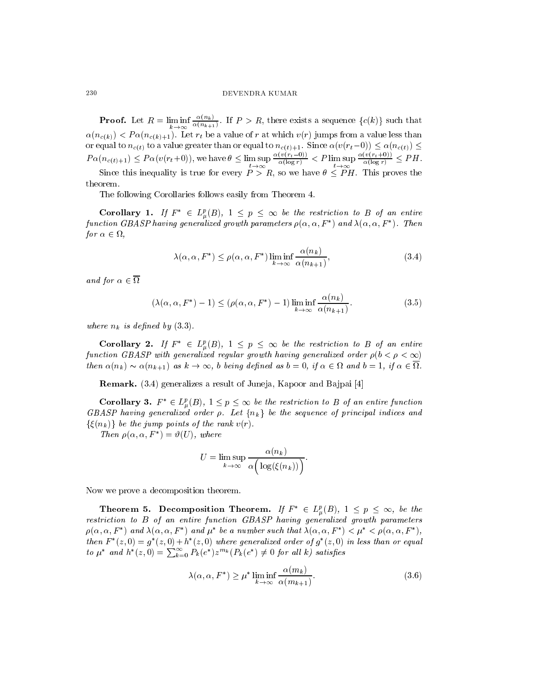#### 230 DEVENDRA KUMAR

**Proof.** Let  $R = \liminf_{k \to \infty} \frac{1}{\alpha(n_{k+1})}$ . If I  $\alpha(n_{k+1})$  . If P  $\alpha$  such that the exists a sequence for  $\alpha$  $\alpha(n_{c(k)})$  <  $P\alpha(n_{c(k)+1})$ . Let  $r_t$  be a value of r at which  $v(r)$  jumps from a value less than or equal to nc(t) to a value  $\alpha$  value for except than or equal to  $\alpha$ P (i)( $e(t)$ +1)  $\implies$  P (i)( $e(t+0)$ ), we have  $P$  =  $\lim_{t\to\infty} e(\log r)$  $\frac{\alpha(v(r_t - \sigma))}{\alpha(\log r)} < P \limsup_{t \to \infty} \frac{\alpha(v(r_t + \sigma))}{\alpha(\log r)} \le$  $\frac{C(\sqrt{c^2+1})}{\alpha(\log r)} \leq PH.$ Since this inequality is true for every <sup>P</sup> > R, so we have P H. This proves the theorem.

The following Corollaries follows easily from Theorem 4.

**Corollary 1.** If  $F^* \in L^p_\mu(B)$ ,  $1 \leq p \leq \infty$  be the restriction to B of an entire function GBASP having generalized growth parameters  $\rho(\alpha, \alpha, F^*)$  and  $\lambda(\alpha, \alpha, F^*)$ . Then  $\mathbf{r}$  , and  $\mathbf{r}$  , and  $\mathbf{r}$ 

$$
\lambda(\alpha, \alpha, F^*) \le \rho(\alpha, \alpha, F^*) \liminf_{k \to \infty} \frac{\alpha(n_k)}{\alpha(n_{k+1})},
$$
\n(3.4)

and for  $\alpha \in \overline{\Omega}$ 

$$
(\lambda(\alpha, \alpha, F^*) - 1) \le (\rho(\alpha, \alpha, F^*) - 1) \liminf_{k \to \infty} \frac{\alpha(n_k)}{\alpha(n_{k+1})}.
$$
\n(3.5)

where  $n_k$  is defined by  $(3.3)$ .

**Corollary 2.** If  $F^* \in L^p_\mu(B)$ ,  $1 \leq p \leq \infty$  be the restriction to B of an entire function GBASP with generalized regular growth having generalized order  $\rho(b < \rho < \infty)$ (n) (n+1) as  $\frac{1}{2}$  being defined as  $\frac{1}{2}$  being defined as  $\frac{1}{2}$  if  $\frac{1}{2}$  if  $\frac{1}{2}$ 

Remark. (3.4) generalizes a result of Juneja, Kapoor and Bajpai [4]

**Corollary 3.**  $F^* \in L^p_\mu(B)$ ,  $1 \le p \le \infty$  be the restriction to B of an entire function GBASP having generalized order  $\rho$ . Let  $\{n_k\}$  be the sequence of principal indices and  $\{\xi(n_k)\}\,$  be the jump points of the rank  $v(r)$ .

Then  $\rho(\alpha, \alpha, F^*) = \vartheta(U)$ , where

$$
U = \limsup_{k \to \infty} \frac{\alpha(n_k)}{\alpha \Big(\log(\xi(n_k))\Big)}.
$$

Now we prove a decomposition theorem.

Theorem 5. Decomposition Theorem. If  $F^* \in L^p_\mu(B),\ 1\leq p\leq\infty,$  be the restriction to B of an entire function GBASP having generalized growth parameters  $\rho(\alpha, \alpha, F^*)$  and  $\lambda(\alpha, \alpha, F^*)$  and  $\mu^*$  be a number such that  $\lambda(\alpha, \alpha, F^*) < \mu^* < \rho(\alpha, \alpha, F^*)$ . then  $F^*(z,0) = g^*(z,0) + h^*(z,0)$  where generalized order of  $g^*(z,0)$  in less than or equal to  $\mu^*$  and  $h^*(z,0) = \sum_{k=0}^{\infty} P_k(e^*) z^{m_k}(P_k(e^*) \neq 0$  for all k) satisfies

$$
\lambda(\alpha, \alpha, F^*) \ge \mu^* \liminf_{k \to \infty} \frac{\alpha(m_k)}{\alpha(m_{k+1})}.
$$
\n(3.6)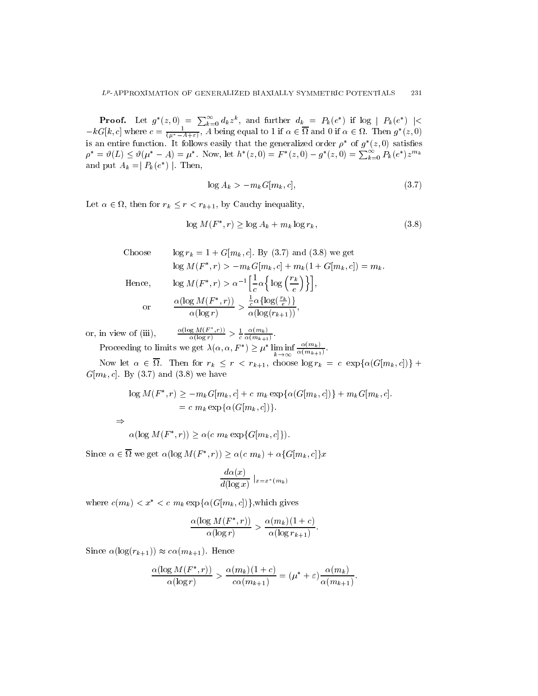**Proof.** Let  $g^*(z,0) = \sum_{k=0}^{\infty} d_k z^k$ , and further  $d_k = P_k(e^*)$  if  $\log |P_k(e^*)|$  $-kG[k, c]$  where  $c = \frac{1}{(u^* - A + \varepsilon)}$ , A being equal to 1 if  $\alpha \in \Omega$  and 0 if  $\alpha \in \Omega$ . Then  $g^*(z, 0)$ is an entire function. It follows easily that the generalized order  $\rho^*$  of  $g^*(z,0)$  satisfies  $\rho^* = \vartheta(L) \leq \vartheta(\mu^* - A) = \mu^*$ . Now, let  $h^*(z,0) = F^*(z,0) - g^*(z,0) = \sum_{k=0}^{\infty} P_k(e^*)z^{m_k}$ and put  $A_k = P_k(e^*)$ . Then,

$$
\log A_k > -m_k G[m_k, c],\tag{3.7}
$$

, then for real contracts in the contracts of the contracts of the contracts of the contracts of the contracts

$$
\log M(F^*, r) \ge \log A_k + m_k \log r_k, \tag{3.8}
$$

Choose  $\log r_k = 1 + G[m_k, c]$ . By (3.7) and (3.8) we get  $\log M(F^*, r) > -m_k G[m_k, c] + m_k (1 + G[m_k, c]) = m_k$ . Hence,  $\log M(F^*, r) > \alpha^{-1} \left[ \frac{1}{c} \alpha \left\{ \log \left( \frac{r_k}{e} \right) \right\} \right],$ or  $\frac{\alpha(\log M(F^*,r))}{\alpha(\log r)} > \frac{\frac{1}{c}\alpha\{\log(\frac{r_k}{e})\}}{\alpha(\log(r_{k+1}))}$  $\frac{\frac{1}{c}\alpha\{\log(\frac{\alpha}{e})\}}{\alpha(\log(r_{k+1}))},$ 

or, in view of (iii), 
$$
\frac{\alpha(\log M(F^*, r))}{\alpha(\log r)} > \frac{1}{c} \frac{\alpha(m_k)}{\alpha(m_{k+1})}.
$$

Proceeding to limits we get  $\lambda(\alpha, \alpha, F^*) \geq \mu^* \liminf_{k \to \infty} \frac{\alpha(m_k)}{\alpha(m_{k+1})}$ .  $\alpha(m_{k+1})$ 

 $N$  . Then for real formulations in the contract of  $\alpha$  real for  $\alpha$  and  $\alpha$  is a contract of  $\alpha$  in  $\alpha$  is a contract of  $\alpha$  in  $\alpha$  is a contract of  $\alpha$  in  $\alpha$  is a contract of  $\alpha$  is a contract of  $\alpha$  is a co  $G[m_k, c]$ . By (3.7) and (3.8) we have

$$
\log M(F^*, r) \ge -m_k G[m_k, c] + c \ m_k \exp{\alpha(G[m_k, c])} + m_k G[m_k, c].
$$
  
= c  $m_k \exp{\alpha(G[m_k, c])}.$ 

 $\alpha(\log M(F^*, r)) \geq \alpha(c \ m_k \ \exp\{G[m_k, c]\}).$ 

Since  $\alpha \in \Omega$  we get  $\alpha(\log M(F^*, r)) \geq \alpha(c m_k) + \alpha \{G[m_k, c]\}x$ 

$$
\frac{d\alpha(x)}{d(\log x)}\mid_{x=x^*(m_k)}
$$

where  $c(m_k) < x^* < c \, m_k \exp{\{\alpha(G[m_k, c])\}}$ , which gives

$$
\frac{\alpha(\log M(F^*, r))}{\alpha(\log r)} > \frac{\alpha(m_k)(1+c)}{\alpha(\log r_{k+1})}.
$$

Since  $\alpha(\log(r_{k+1})) \approx c\alpha(m_{k+1})$ . Hence

$$
\frac{\alpha(\log M(F^*, r))}{\alpha(\log r)} > \frac{\alpha(m_k)(1+c)}{c\alpha(m_{k+1})} = (\mu^* + \varepsilon)\frac{\alpha(m_k)}{\alpha(m_{k+1})}.
$$